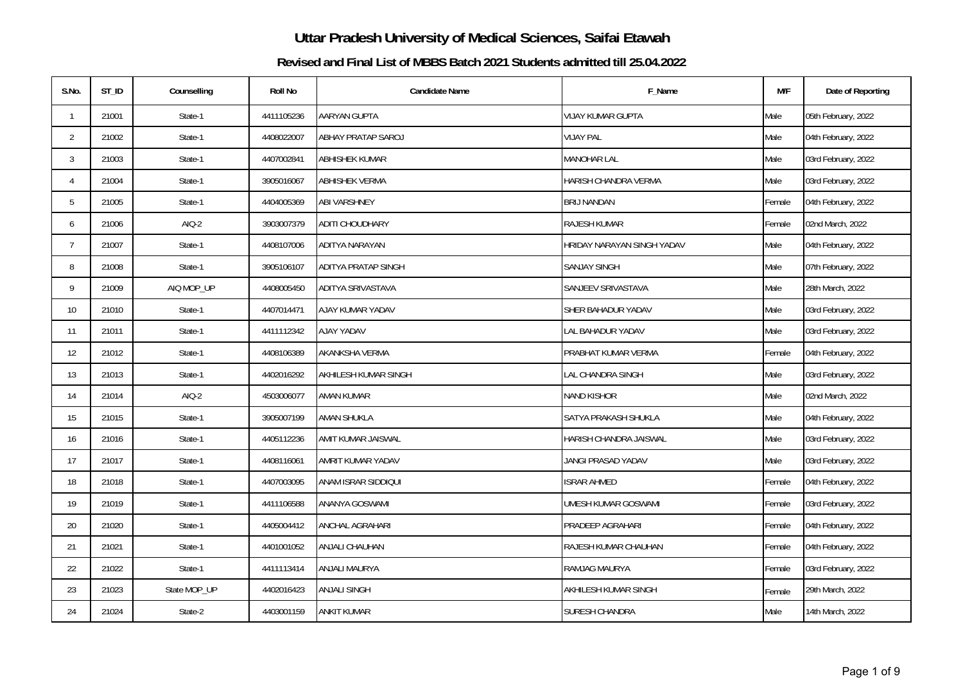| S.No.           | $ST_lD$ | Counselling  | <b>Roll No</b> | <b>Candidate Name</b>      | F_Name                     | M/F    | Date of Reporting   |
|-----------------|---------|--------------|----------------|----------------------------|----------------------------|--------|---------------------|
| $\mathbf{1}$    | 21001   | State-1      | 4411105236     | AARYAN GUPTA               | <b>VIJAY KUMAR GUPTA</b>   | Male   | 05th February, 2022 |
| $\overline{2}$  | 21002   | State-1      | 4408022007     | <b>ABHAY PRATAP SAROJ</b>  | <b>VIJAY PAL</b>           | Male   | 04th February, 2022 |
| 3               | 21003   | State-1      | 4407002841     | <b>ABHISHEK KUMAR</b>      | <b>MANOHAR LAL</b>         | Male   | 03rd February, 2022 |
| 4               | 21004   | State-1      | 3905016067     | <b>ABHISHEK VERMA</b>      | HARISH CHANDRA VERMA       | Male   | 03rd February, 2022 |
| 5               | 21005   | State-1      | 4404005369     | <b>ABI VARSHNEY</b>        | <b>BRIJ NANDAN</b>         | Female | 04th February, 2022 |
| 6               | 21006   | $AIO-2$      | 3903007379     | <b>ADITI CHOUDHARY</b>     | RAJESH KUMAR               | Female | 02nd March, 2022    |
| $7\overline{ }$ | 21007   | State-1      | 4408107006     | ADITYA NARAYAN             | HRIDAY NARAYAN SINGH YADAV | Male   | 04th February, 2022 |
| 8               | 21008   | State-1      | 3905106107     | <b>ADITYA PRATAP SINGH</b> | <b>SANJAY SINGH</b>        | Male   | 07th February, 2022 |
| 9               | 21009   | AIQ MOP_UP   | 4408005450     | ADITYA SRIVASTAVA          | SANJEEV SRIVASTAVA         | Male   | 28th March, 2022    |
| 10 <sup>°</sup> | 21010   | State-1      | 4407014471     | AJAY KUMAR YADAV           | SHER BAHADUR YADAV         | Male   | 03rd February, 2022 |
| 11              | 21011   | State-1      | 4411112342     | AJAY YADAV                 | LAL BAHADUR YADAV          | Male   | 03rd February, 2022 |
| 12              | 21012   | State-1      | 4408106389     | AKANKSHA VERMA             | PRABHAT KUMAR VERMA        | Female | 04th February, 2022 |
| 13              | 21013   | State-1      | 4402016292     | AKHILESH KUMAR SINGH       | LAL CHANDRA SINGH          | Male   | 03rd February, 2022 |
| 14              | 21014   | $AIO-2$      | 4503006077     | AMAN KUMAR                 | <b>NAND KISHOR</b>         | Male   | 02nd March, 2022    |
| 15              | 21015   | State-1      | 3905007199     | AMAN SHUKLA                | SATYA PRAKASH SHUKLA       | Male   | 04th February, 2022 |
| 16              | 21016   | State-1      | 4405112236     | AMIT KUMAR JAISWAL         | HARISH CHANDRA JAISWAL     | Male   | 03rd February, 2022 |
| 17              | 21017   | State-1      | 4408116061     | AMRIT KUMAR YADAV          | JANGI PRASAD YADAV         | Male   | 03rd February, 2022 |
| 18              | 21018   | State-1      | 4407003095     | ANAM ISRAR SIDDIQUI        | <b>ISRAR AHMED</b>         | Female | 04th February, 2022 |
| 19              | 21019   | State-1      | 4411106588     | <b>ANANYA GOSWAMI</b>      | <b>UMESH KUMAR GOSWAMI</b> | Female | 03rd February, 2022 |
| 20              | 21020   | State-1      | 4405004412     | ANCHAL AGRAHARI            | PRADEEP AGRAHARI           | Female | 04th February, 2022 |
| 21              | 21021   | State-1      | 4401001052     | <b>ANJALI CHAUHAN</b>      | RAJESH KUMAR CHAUHAN       | Female | 04th February, 2022 |
| 22              | 21022   | State-1      | 4411113414     | ANJALI MAURYA              | RAMJAG MAURYA              | Female | 03rd February, 2022 |
| 23              | 21023   | State MOP_UP | 4402016423     | <b>ANJALI SINGH</b>        | AKHILESH KUMAR SINGH       | Female | 29th March, 2022    |
| 24              | 21024   | State-2      | 4403001159     | <b>ANKIT KUMAR</b>         | SURESH CHANDRA             | Male   | 14th March, 2022    |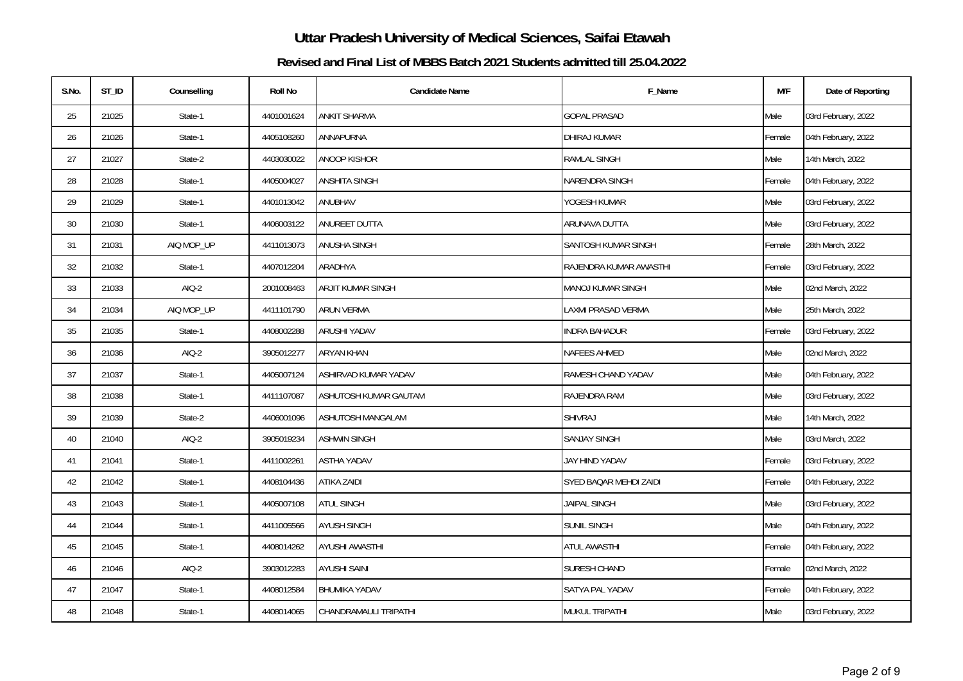| S.No.  | $ST_lD$ | Counselling | <b>Roll No</b> | <b>Candidate Name</b> | F_Name                    | M/F    | Date of Reporting   |
|--------|---------|-------------|----------------|-----------------------|---------------------------|--------|---------------------|
| 25     | 21025   | State-1     | 4401001624     | ANKIT SHARMA          | <b>GOPAL PRASAD</b>       | Male   | 03rd February, 2022 |
| 26     | 21026   | State-1     | 4405108260     | ANNAPURNA             | DHIRAJ KUMAR              | Female | 04th February, 2022 |
| 27     | 21027   | State-2     | 4403030022     | ANOOP KISHOR          | <b>RAMLAL SINGH</b>       | Male   | 14th March, 2022    |
| 28     | 21028   | State-1     | 4405004027     | ANSHITA SINGH         | NARENDRA SINGH            | Female | 04th February, 2022 |
| 29     | 21029   | State-1     | 4401013042     | ANUBHAV               | YOGESH KUMAR              | Male   | 03rd February, 2022 |
| $30\,$ | 21030   | State-1     | 4406003122     | ANUREET DUTTA         | ARUNAVA DUTTA             | Male   | 03rd February, 2022 |
| 31     | 21031   | AIQ MOP_UP  | 4411013073     | ANUSHA SINGH          | SANTOSH KUMAR SINGH       | Female | 28th March, 2022    |
| 32     | 21032   | State-1     | 4407012204     | ARADHYA               | RAJENDRA KUMAR AWASTHI    | Female | 03rd February, 2022 |
| 33     | 21033   | $AIO-2$     | 2001008463     | ARJIT KUMAR SINGH     | <b>MANOJ KUMAR SINGH</b>  | Male   | 02nd March, 2022    |
| 34     | 21034   | AIQ MOP_UP  | 4411101790     | ARUN VERMA            | <b>LAXMI PRASAD VERMA</b> | Male   | 25th March, 2022    |
| 35     | 21035   | State-1     | 4408002288     | ARUSHI YADAV          | <b>INDRA BAHADUR</b>      | Female | 03rd February, 2022 |
| 36     | 21036   | $AIO-2$     | 3905012277     | <b>ARYAN KHAN</b>     | NAFEES AHMED              | Male   | 02nd March, 2022    |
| 37     | 21037   | State-1     | 4405007124     | ASHIRVAD KUMAR YADAV  | RAMESH CHAND YADAV        | Male   | 04th February, 2022 |
| 38     | 21038   | State-1     | 4411107087     | ASHUTOSH KUMAR GAUTAM | RAJENDRA RAM              | Male   | 03rd February, 2022 |
| 39     | 21039   | State-2     | 4406001096     | ASHUTOSH MANGALAM     | SHIVRAJ                   | Male   | 14th March, 2022    |
| $40\,$ | 21040   | AIQ-2       | 3905019234     | <b>ASHWIN SINGH</b>   | <b>SANJAY SINGH</b>       | Male   | 03rd March, 2022    |
| 41     | 21041   | State-1     | 4411002261     | <b>ASTHA YADAV</b>    | JAY HIND YADAV            | Female | 03rd February, 2022 |
| 42     | 21042   | State-1     | 4408104436     | <b>ATIKA ZAIDI</b>    | SYED BAQAR MEHDI ZAIDI    | Female | 04th February, 2022 |
| 43     | 21043   | State-1     | 4405007108     | <b>ATUL SINGH</b>     | <b>JAIPAL SINGH</b>       | Male   | 03rd February, 2022 |
| 44     | 21044   | State-1     | 4411005566     | <b>AYUSH SINGH</b>    | <b>SUNIL SINGH</b>        | Male   | 04th February, 2022 |
| 45     | 21045   | State-1     | 4408014262     | <b>AYUSHI AWASTHI</b> | ATUL AWASTHI              | Female | 04th February, 2022 |
| 46     | 21046   | $AIO-2$     | 3903012283     | <b>AYUSHI SAINI</b>   | SURESH CHAND              | Female | 02nd March, 2022    |
| 47     | 21047   | State-1     | 4408012584     | <b>BHUMIKA YADAV</b>  | SATYA PAL YADAV           | Female | 04th February, 2022 |
| 48     | 21048   | State-1     | 4408014065     | CHANDRAMAULI TRIPATHI | <b>MUKUL TRIPATHI</b>     | Male   | 03rd February, 2022 |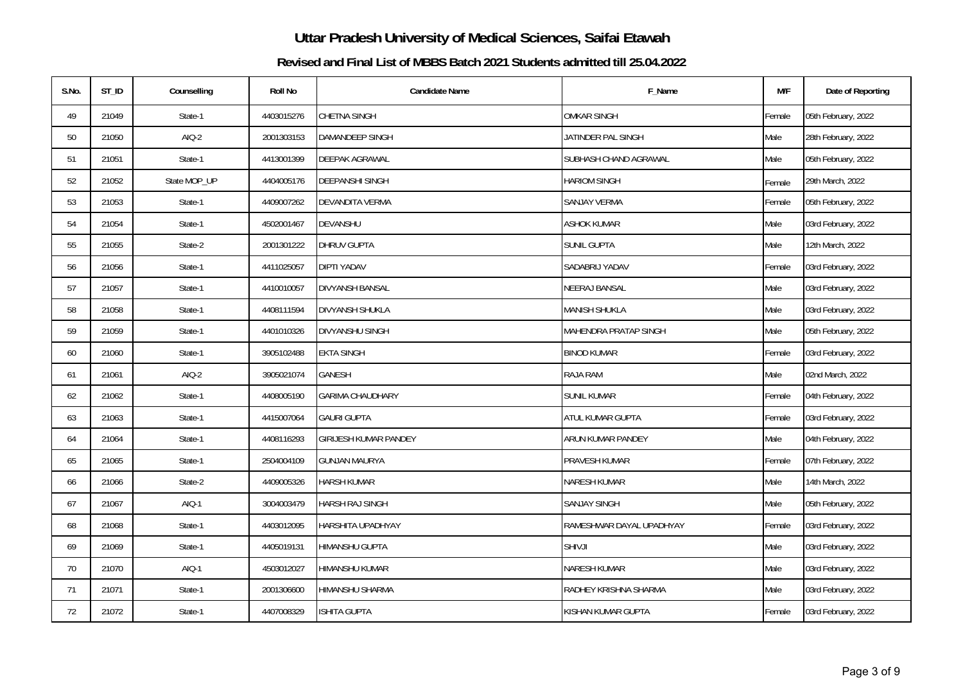| S.No. | $ST_lD$ | Counselling  | <b>Roll No</b> | <b>Candidate Name</b>        | F_Name                       | M/F    | Date of Reporting   |
|-------|---------|--------------|----------------|------------------------------|------------------------------|--------|---------------------|
| 49    | 21049   | State-1      | 4403015276     | CHETNA SINGH                 | <b>OMKAR SINGH</b>           | Female | 05th February, 2022 |
| 50    | 21050   | $AIO-2$      | 2001303153     | DAMANDEEP SINGH              | JATINDER PAL SINGH           | Male   | 28th February, 2022 |
| 51    | 21051   | State-1      | 4413001399     | DEEPAK AGRAWAL               | SUBHASH CHAND AGRAWAL        | Male   | 05th February, 2022 |
| 52    | 21052   | State MOP_UP | 4404005176     | DEEPANSHI SINGH              | <b>HARIOM SINGH</b>          | Female | 29th March, 2022    |
| 53    | 21053   | State-1      | 4409007262     | DEVANDITA VERMA              | SANJAY VERMA                 | Female | 05th February, 2022 |
| 54    | 21054   | State-1      | 4502001467     | DEVANSHU                     | ASHOK KUMAR                  | Male   | 03rd February, 2022 |
| 55    | 21055   | State-2      | 2001301222     | DHRUV GUPTA                  | <b>SUNIL GUPTA</b>           | Male   | 12th March, 2022    |
| 56    | 21056   | State-1      | 4411025057     | <b>DIPTI YADAV</b>           | SADABRIJ YADAV               | Female | 03rd February, 2022 |
| 57    | 21057   | State-1      | 4410010057     | DIVYANSH BANSAL              | <b>NEERAJ BANSAL</b>         | Male   | 03rd February, 2022 |
| 58    | 21058   | State-1      | 4408111594     | DIVYANSH SHUKLA              | <b>MANISH SHUKLA</b>         | Male   | 03rd February, 2022 |
| 59    | 21059   | State-1      | 4401010326     | DIVYANSHU SINGH              | <b>MAHENDRA PRATAP SINGH</b> | Male   | 05th February, 2022 |
| 60    | 21060   | State-1      | 3905102488     | EKTA SINGH                   | <b>BINOD KUMAR</b>           | Female | 03rd February, 2022 |
| 61    | 21061   | AIQ-2        | 3905021074     | <b>GANESH</b>                | <b>RAJA RAM</b>              | Male   | 02nd March, 2022    |
| 62    | 21062   | State-1      | 4408005190     | <b>GARIMA CHAUDHARY</b>      | <b>SUNIL KUMAR</b>           | Female | 04th February, 2022 |
| 63    | 21063   | State-1      | 4415007064     | <b>GAURI GUPTA</b>           | ATUL KUMAR GUPTA             | Female | 03rd February, 2022 |
| 64    | 21064   | State-1      | 4408116293     | <b>GIRIJESH KUMAR PANDEY</b> | ARUN KUMAR PANDEY            | Male   | 04th February, 2022 |
| 65    | 21065   | State-1      | 2504004109     | <b>GUNJAN MAURYA</b>         | PRAVESH KUMAR                | Female | 07th February, 2022 |
| 66    | 21066   | State-2      | 4409005326     | HARSH KUMAR                  | NARESH KUMAR                 | Male   | 14th March, 2022    |
| 67    | 21067   | AIQ-1        | 3004003479     | HARSH RAJ SINGH              | <b>SANJAY SINGH</b>          | Male   | 05th February, 2022 |
| 68    | 21068   | State-1      | 4403012095     | HARSHITA UPADHYAY            | RAMESHWAR DAYAL UPADHYAY     | Female | 03rd February, 2022 |
| 69    | 21069   | State-1      | 4405019131     | HIMANSHU GUPTA               | <b>SHIVJI</b>                | Male   | 03rd February, 2022 |
| 70    | 21070   | AIQ-1        | 4503012027     | HIMANSHU KUMAR               | <b>NARESH KUMAR</b>          | Male   | 03rd February, 2022 |
| 71    | 21071   | State-1      | 2001306600     | HIMANSHU SHARMA              | RADHEY KRISHNA SHARMA        | Male   | 03rd February, 2022 |
| 72    | 21072   | State-1      | 4407008329     | SHITA GUPTA                  | KISHAN KUMAR GUPTA           | Female | 03rd February, 2022 |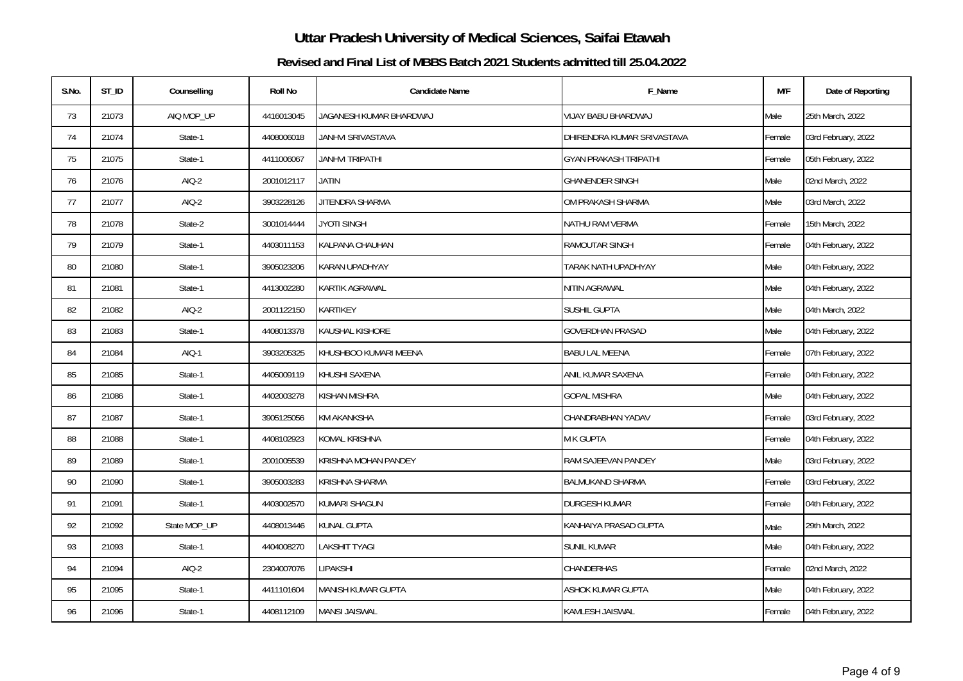| S.No. | ST_ID | Counselling  | <b>Roll No</b> | <b>Candidate Name</b>   | F_Name                            | M/F    | Date of Reporting   |
|-------|-------|--------------|----------------|-------------------------|-----------------------------------|--------|---------------------|
| 73    | 21073 | AIQ MOP_UP   | 4416013045     | JAGANESH KUMAR BHARDWAJ | VIJAY BABU BHARDWAJ               | Male   | 25th March, 2022    |
| 74    | 21074 | State-1      | 4408006018     | JANHVI SRIVASTAVA       | DHIRENDRA KUMAR SRIVASTAVA        | Female | 03rd February, 2022 |
| 75    | 21075 | State-1      | 4411006067     | <b>JANHVI TRIPATHI</b>  | <b>GYAN PRAKASH TRIPATHI</b>      | Female | 05th February, 2022 |
| 76    | 21076 | AIQ-2        | 2001012117     | JATIN                   | <b>GHANENDER SINGH</b>            | Male   | 02nd March, 2022    |
| 77    | 21077 | $AIO-2$      | 3903228126     | JITENDRA SHARMA         | OM PRAKASH SHARMA                 | Male   | 03rd March, 2022    |
| 78    | 21078 | State-2      | 3001014444     | <b>JYOTI SINGH</b>      | NATHU RAM VERMA                   | Female | 15th March, 2022    |
| 79    | 21079 | State-1      | 4403011153     | KALPANA CHAUHAN         | RAMOUTAR SINGH                    | Female | 04th February, 2022 |
| 80    | 21080 | State-1      | 3905023206     | KARAN UPADHYAY          | <b><i>FARAK NATH UPADHYAY</i></b> | Male   | 04th February, 2022 |
| 81    | 21081 | State-1      | 4413002280     | KARTIK AGRAWAL          | NITIN AGRAWAL                     | Male   | 04th February, 2022 |
| 82    | 21082 | AIQ-2        | 2001122150     | KARTIKEY                | <b>SUSHIL GUPTA</b>               | Male   | 04th March, 2022    |
| 83    | 21083 | State-1      | 4408013378     | KAUSHAL KISHORE         | <b>GOVERDHAN PRASAD</b>           | Male   | 04th February, 2022 |
| 84    | 21084 | AIQ-1        | 3903205325     | KHUSHBOO KUMARI MEENA   | <b>BABU LAL MEENA</b>             | Female | 07th February, 2022 |
| 85    | 21085 | State-1      | 4405009119     | KHUSHI SAXENA           | ANIL KUMAR SAXENA                 | Female | 04th February, 2022 |
| 86    | 21086 | State-1      | 4402003278     | KISHAN MISHRA           | <b>GOPAL MISHRA</b>               | Male   | 04th February, 2022 |
| 87    | 21087 | State-1      | 3905125056     | <b>KM AKANKSHA</b>      | CHANDRABHAN YADAV                 | Female | 03rd February, 2022 |
| 88    | 21088 | State-1      | 4408102923     | KOMAL KRISHNA           | M K GUPTA                         | Female | 04th February, 2022 |
| 89    | 21089 | State-1      | 2001005539     | KRISHNA MOHAN PANDEY    | RAM SAJEEVAN PANDEY               | Male   | 03rd February, 2022 |
| 90    | 21090 | State-1      | 3905003283     | KRISHNA SHARMA          | <b>BALMUKAND SHARMA</b>           | Female | 03rd February, 2022 |
| 91    | 21091 | State-1      | 4403002570     | KUMARI SHAGUN           | <b>DURGESH KUMAR</b>              | Female | 04th February, 2022 |
| 92    | 21092 | State MOP_UP | 4408013446     | KUNAL GUPTA             | KANHAIYA PRASAD GUPTA             | Male   | 29th March, 2022    |
| 93    | 21093 | State-1      | 4404008270     | LAKSHIT TYAGI           | SUNIL KUMAR                       | Male   | 04th February, 2022 |
| 94    | 21094 | $AIO-2$      | 2304007076     | <b>LIPAKSHI</b>         | CHANDERHAS                        | Female | 02nd March, 2022    |
| 95    | 21095 | State-1      | 4411101604     | MANISH KUMAR GUPTA      | ASHOK KUMAR GUPTA                 | Male   | 04th February, 2022 |
| 96    | 21096 | State-1      | 4408112109     | MANSI JAISWAL           | KAMLESH JAISWAL                   | Female | 04th February, 2022 |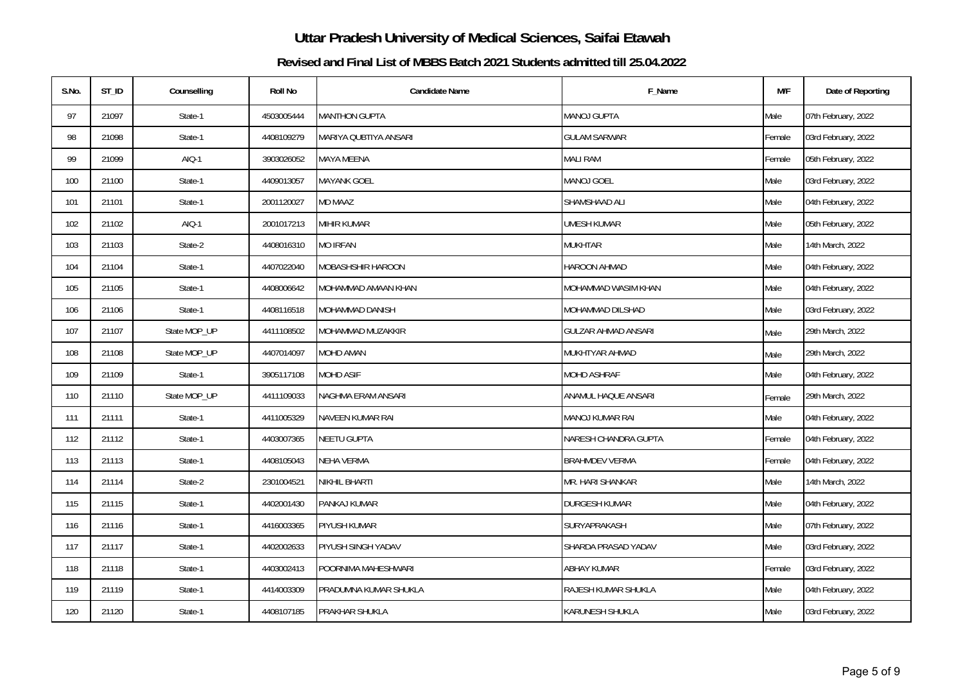| S.No. | ST_ID | Counselling  | <b>Roll No</b> | <b>Candidate Name</b> | F_Name                     | M/F    | Date of Reporting   |
|-------|-------|--------------|----------------|-----------------------|----------------------------|--------|---------------------|
| 97    | 21097 | State-1      | 4503005444     | <b>MANTHON GUPTA</b>  | <b>MANOJ GUPTA</b>         | Male   | 07th February, 2022 |
| 98    | 21098 | State-1      | 4408109279     | MARIYA QUBTIYA ANSARI | <b>GULAM SARWAR</b>        | Female | 03rd February, 2022 |
| 99    | 21099 | AIQ-1        | 3903026052     | MAYA MEENA            | <b>MALI RAM</b>            | Female | 05th February, 2022 |
| 100   | 21100 | State-1      | 4409013057     | <b>MAYANK GOEL</b>    | <b>MANOJ GOEL</b>          | Male   | 03rd February, 2022 |
| 101   | 21101 | State-1      | 2001120027     | MD MAAZ               | SHAMSHAAD ALI              | Male   | 04th February, 2022 |
| 102   | 21102 | AIQ-1        | 2001017213     | MIHIR KUMAR           | <b>UMESH KUMAR</b>         | Male   | 05th February, 2022 |
| 103   | 21103 | State-2      | 4408016310     | <b>MO IRFAN</b>       | <b>MUKHTAR</b>             | Male   | 14th March, 2022    |
| 104   | 21104 | State-1      | 4407022040     | MOBASHSHIR HAROON     | HAROON AHMAD               | Male   | 04th February, 2022 |
| 105   | 21105 | State-1      | 4408006642     | MOHAMMAD AMAAN KHAN   | MOHAMMAD WASIM KHAN        | Male   | 04th February, 2022 |
| 106   | 21106 | State-1      | 4408116518     | MOHAMMAD DANISH       | MOHAMMAD DILSHAD           | Male   | 03rd February, 2022 |
| 107   | 21107 | State MOP_UP | 4411108502     | MOHAMMAD MUZAKKIR     | <b>GULZAR AHMAD ANSARI</b> | Male   | 29th March, 2022    |
| 108   | 21108 | State MOP_UP | 4407014097     | MOHD AMAN             | MUKHTYAR AHMAD             | Male   | 29th March, 2022    |
| 109   | 21109 | State-1      | 3905117108     | <b>MOHD ASIF</b>      | MOHD ASHRAF                | Male   | 04th February, 2022 |
| 110   | 21110 | State MOP_UP | 4411109033     | NAGHMA ERAM ANSARI    | ANAMUL HAQUE ANSARI        | Female | 29th March, 2022    |
| 111   | 21111 | State-1      | 4411005329     | NAVEEN KUMAR RAI      | MANOJ KUMAR RAI            | Male   | 04th February, 2022 |
| 112   | 21112 | State-1      | 4403007365     | NEETU GUPTA           | NARESH CHANDRA GUPTA       | Female | 04th February, 2022 |
| 113   | 21113 | State-1      | 4408105043     | <b>NEHA VERMA</b>     | <b>BRAHMDEV VERMA</b>      | Female | 04th February, 2022 |
| 114   | 21114 | State-2      | 2301004521     | NIKHIL BHARTI         | MR. HARI SHANKAR           | Male   | 14th March, 2022    |
| 115   | 21115 | State-1      | 4402001430     | PANKAJ KUMAR          | <b>DURGESH KUMAR</b>       | Male   | 04th February, 2022 |
| 116   | 21116 | State-1      | 4416003365     | PIYUSH KUMAR          | SURYAPRAKASH               | Male   | 07th February, 2022 |
| 117   | 21117 | State-1      | 4402002633     | PIYUSH SINGH YADAV    | SHARDA PRASAD YADAV        | Male   | 03rd February, 2022 |
| 118   | 21118 | State-1      | 4403002413     | POORNIMA MAHESHWARI   | <b>ABHAY KUMAR</b>         | Female | 03rd February, 2022 |
| 119   | 21119 | State-1      | 4414003309     | PRADUMNA KUMAR SHUKLA | RAJESH KUMAR SHUKLA        | Male   | 04th February, 2022 |
| 120   | 21120 | State-1      | 4408107185     | PRAKHAR SHUKLA        | KARUNESH SHUKLA            | Male   | 03rd February, 2022 |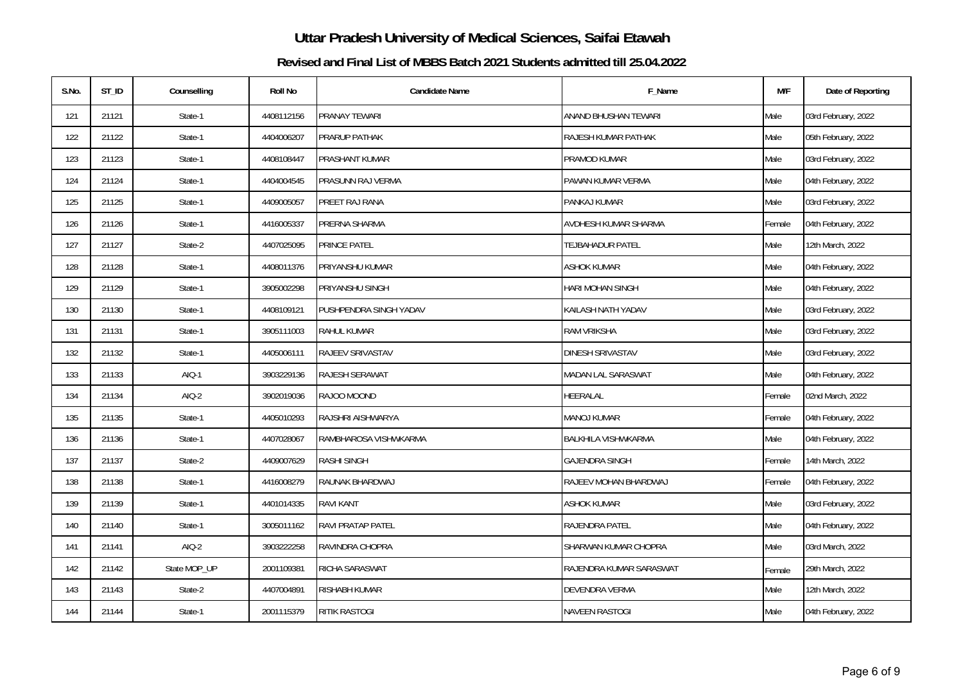| S.No. | ST_ID | Counselling  | <b>Roll No</b> | <b>Candidate Name</b>  | F_Name                     | M/F    | Date of Reporting   |
|-------|-------|--------------|----------------|------------------------|----------------------------|--------|---------------------|
| 121   | 21121 | State-1      | 4408112156     | PRANAY TEWARI          | ANAND BHUSHAN TEWARI       | Male   | 03rd February, 2022 |
| 122   | 21122 | State-1      | 4404006207     | PRARUP PATHAK          | RAJESH KUMAR PATHAK        | Male   | 05th February, 2022 |
| 123   | 21123 | State-1      | 4408108447     | PRASHANT KUMAR         | PRAMOD KUMAR               | Male   | 03rd February, 2022 |
| 124   | 21124 | State-1      | 4404004545     | PRASUNN RAJ VERMA      | PAWAN KUMAR VERMA          | Male   | 04th February, 2022 |
| 125   | 21125 | State-1      | 4409005057     | PREET RAJ RANA         | PANKAJ KUMAR               | Male   | 03rd February, 2022 |
| 126   | 21126 | State-1      | 4416005337     | PRERNA SHARMA          | AVDHESH KUMAR SHARMA       | Female | 04th February, 2022 |
| 127   | 21127 | State-2      | 4407025095     | PRINCE PATEL           | TEJBAHADUR PATEL           | Male   | 12th March, 2022    |
| 128   | 21128 | State-1      | 4408011376     | PRIYANSHU KUMAR        | <b>ASHOK KUMAR</b>         | Male   | 04th February, 2022 |
| 129   | 21129 | State-1      | 3905002298     | PRIYANSHU SINGH        | <b>HARI MOHAN SINGH</b>    | Male   | 04th February, 2022 |
| 130   | 21130 | State-1      | 4408109121     | PUSHPENDRA SINGH YADAV | KAILASH NATH YADAV         | Male   | 03rd February, 2022 |
| 131   | 21131 | State-1      | 3905111003     | RAHUL KUMAR            | <b>RAM VRIKSHA</b>         | Male   | 03rd February, 2022 |
| 132   | 21132 | State-1      | 4405006111     | RAJEEV SRIVASTAV       | <b>DINESH SRIVASTAV</b>    | Male   | 03rd February, 2022 |
| 133   | 21133 | AIQ-1        | 3903229136     | RAJESH SERAWAT         | <b>MADAN LAL SARASWAT</b>  | Male   | 04th February, 2022 |
| 134   | 21134 | $AIO-2$      | 3902019036     | RAJOO MOOND            | HEERALAL                   | Female | 02nd March, 2022    |
| 135   | 21135 | State-1      | 4405010293     | RAJSHRI AISHWARYA      | <b>MANOJ KUMAR</b>         | Female | 04th February, 2022 |
| 136   | 21136 | State-1      | 4407028067     | RAMBHAROSA VISHWKARMA  | <b>BALKHILA VISHWKARMA</b> | Male   | 04th February, 2022 |
| 137   | 21137 | State-2      | 4409007629     | RASHI SINGH            | <b>GAJENDRA SINGH</b>      | Female | 14th March, 2022    |
| 138   | 21138 | State-1      | 4416008279     | RAUNAK BHARDWAJ        | RAJEEV MOHAN BHARDWAJ      | Female | 04th February, 2022 |
| 139   | 21139 | State-1      | 4401014335     | RAVI KANT              | <b>ASHOK KUMAR</b>         | Male   | 03rd February, 2022 |
| 140   | 21140 | State-1      | 3005011162     | RAVI PRATAP PATEL      | RAJENDRA PATEL             | Male   | 04th February, 2022 |
| 141   | 21141 | $AIO-2$      | 3903222258     | RAVINDRA CHOPRA        | SHARWAN KUMAR CHOPRA       | Male   | 03rd March, 2022    |
| 142   | 21142 | State MOP_UP | 2001109381     | RICHA SARASWAT         | RAJENDRA KUMAR SARASWAT    | Female | 29th March, 2022    |
| 143   | 21143 | State-2      | 4407004891     | RISHABH KUMAR          | DEVENDRA VERMA             | Male   | 12th March, 2022    |
| 144   | 21144 | State-1      | 2001115379     | RITIK RASTOGI          | <b>NAVEEN RASTOGI</b>      | Male   | 04th February, 2022 |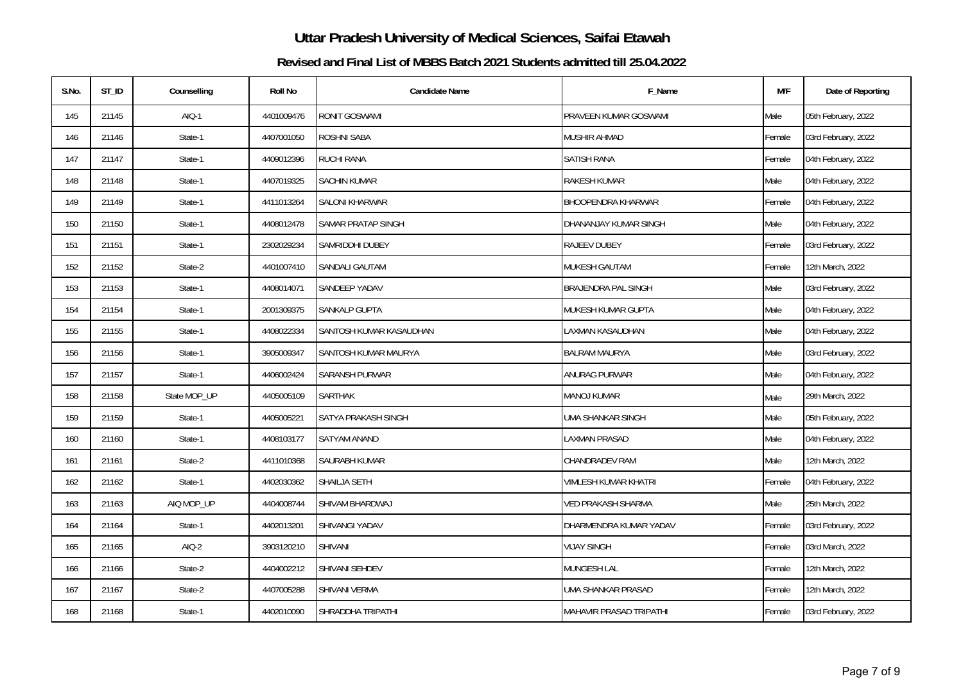| S.No. | ST_ID | Counselling  | <b>Roll No</b> | <b>Candidate Name</b>   | F_Name                         | M/F    | Date of Reporting   |
|-------|-------|--------------|----------------|-------------------------|--------------------------------|--------|---------------------|
| 145   | 21145 | AIQ-1        | 4401009476     | RONIT GOSWAMI           | PRAVEEN KUMAR GOSWAMI          | Male   | 05th February, 2022 |
| 146   | 21146 | State-1      | 4407001050     | <b>ROSHNI SABA</b>      | MUSHIR AHMAD                   | Female | 03rd February, 2022 |
| 147   | 21147 | State-1      | 4409012396     | RUCHI RANA              | SATISH RANA                    | Female | 04th February, 2022 |
| 148   | 21148 | State-1      | 4407019325     | <b>SACHIN KUMAR</b>     | <b>RAKESH KUMAR</b>            | Male   | 04th February, 2022 |
| 149   | 21149 | State-1      | 4411013264     | <b>SALONI KHARWAR</b>   | <b>BHOOPENDRA KHARWAR</b>      | Female | 04th February, 2022 |
| 150   | 21150 | State-1      | 4408012478     | SAMAR PRATAP SINGH      | DHANANJAY KUMAR SINGH          | Male   | 04th February, 2022 |
| 151   | 21151 | State-1      | 2302029234     | SAMRIDDHI DUBEY         | RAJEEV DUBEY                   | Female | 03rd February, 2022 |
| 152   | 21152 | State-2      | 4401007410     | SANDALI GAUTAM          | MUKESH GAUTAM                  | Female | 12th March, 2022    |
| 153   | 21153 | State-1      | 4408014071     | <b>SANDEEP YADAV</b>    | <b>BRAJENDRA PAL SINGH</b>     | Male   | 03rd February, 2022 |
| 154   | 21154 | State-1      | 2001309375     | SANKALP GUPTA           | MUKESH KUMAR GUPTA             | Male   | 04th February, 2022 |
| 155   | 21155 | State-1      | 4408022334     | SANTOSH KUMAR KASAUDHAN | LAXMAN KASAUDHAN               | Male   | 04th February, 2022 |
| 156   | 21156 | State-1      | 3905009347     | SANTOSH KUMAR MAURYA    | <b>BALRAM MAURYA</b>           | Male   | 03rd February, 2022 |
| 157   | 21157 | State-1      | 4406002424     | <b>SARANSH PURWAR</b>   | ANURAG PURWAR                  | Male   | 04th February, 2022 |
| 158   | 21158 | State MOP_UP | 4405005109     | <b>SARTHAK</b>          | <b>MANOJ KUMAR</b>             | Male   | 29th March, 2022    |
| 159   | 21159 | State-1      | 4405005221     | SATYA PRAKASH SINGH     | <b>UMA SHANKAR SINGH</b>       | Male   | 05th February, 2022 |
| 160   | 21160 | State-1      | 4408103177     | SATYAM ANAND            | <b>LAXMAN PRASAD</b>           | Male   | 04th February, 2022 |
| 161   | 21161 | State-2      | 4411010368     | SAURABH KUMAR           | CHANDRADEV RAM                 | Male   | 12th March, 2022    |
| 162   | 21162 | State-1      | 4402030362     | SHAILJA SETH            | <b>VIMLESH KUMAR KHATRI</b>    | Female | 04th February, 2022 |
| 163   | 21163 | AIQ MOP_UP   | 4404008744     | SHIVAM BHARDWAJ         | <b>VED PRAKASH SHARMA</b>      | Male   | 25th March, 2022    |
| 164   | 21164 | State-1      | 4402013201     | SHIVANGI YADAV          | DHARMENDRA KUMAR YADAV         | Female | 03rd February, 2022 |
| 165   | 21165 | AIQ-2        | 3903120210     | SHIVANI                 | <b>VIJAY SINGH</b>             | Female | 03rd March, 2022    |
| 166   | 21166 | State-2      | 4404002212     | SHIVANI SEHDEV          | MUNGESH LAL                    | Female | 12th March, 2022    |
| 167   | 21167 | State-2      | 4407005288     | SHIVANI VERMA           | UMA SHANKAR PRASAD             | Female | 12th March, 2022    |
| 168   | 21168 | State-1      | 4402010090     | SHRADDHA TRIPATHI       | <b>MAHAVIR PRASAD TRIPATHI</b> | Female | 03rd February, 2022 |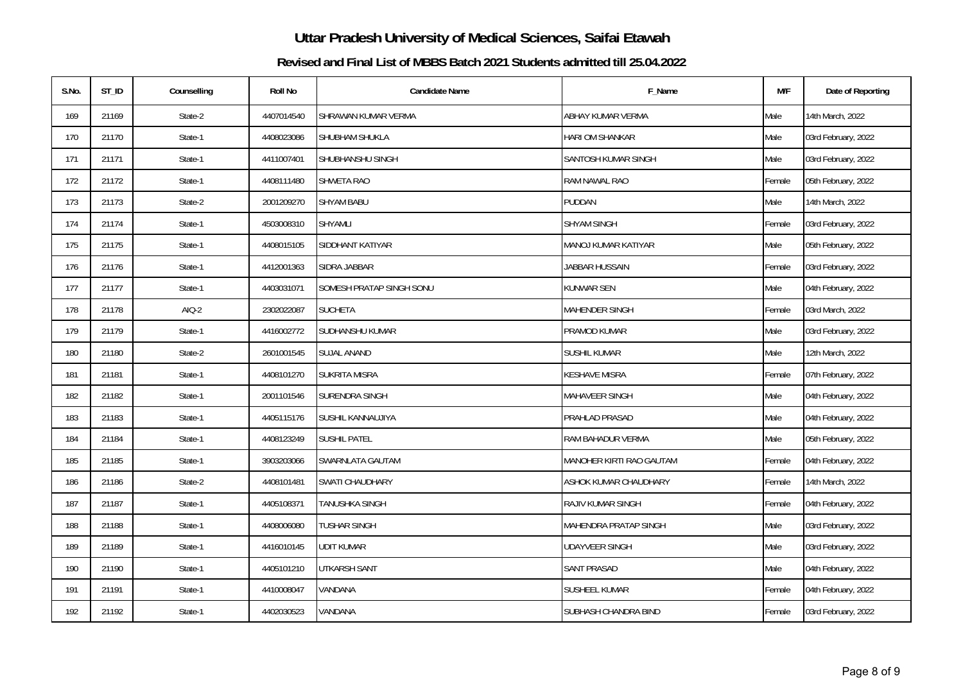| S.No. | ST_ID | Counselling | <b>Roll No</b> | <b>Candidate Name</b>    | F_Name                       | M/F    | Date of Reporting   |
|-------|-------|-------------|----------------|--------------------------|------------------------------|--------|---------------------|
| 169   | 21169 | State-2     | 4407014540     | SHRAWAN KUMAR VERMA      | ABHAY KUMAR VERMA            | Male   | 14th March, 2022    |
| 170   | 21170 | State-1     | 4408023086     | <b>SHUBHAM SHUKLA</b>    | HARI OM SHANKAR              | Male   | 03rd February, 2022 |
| 171   | 21171 | State-1     | 4411007401     | SHUBHANSHU SINGH         | SANTOSH KUMAR SINGH          | Male   | 03rd February, 2022 |
| 172   | 21172 | State-1     | 4408111480     | <b>SHWETA RAO</b>        | RAM NAWAL RAO                | Female | 05th February, 2022 |
| 173   | 21173 | State-2     | 2001209270     | <b>SHYAM BABU</b>        | PUDDAN                       | Male   | 14th March, 2022    |
| 174   | 21174 | State-1     | 4503008310     | <b>SHYAMLI</b>           | <b>SHYAM SINGH</b>           | Female | 03rd February, 2022 |
| 175   | 21175 | State-1     | 4408015105     | SIDDHANT KATIYAR         | MANOJ KUMAR KATIYAR          | Male   | 05th February, 2022 |
| 176   | 21176 | State-1     | 4412001363     | SIDRA JABBAR             | JABBAR HUSSAIN               | Female | 03rd February, 2022 |
| 177   | 21177 | State-1     | 4403031071     | SOMESH PRATAP SINGH SONU | KUNWAR SEN                   | Male   | 04th February, 2022 |
| 178   | 21178 | $AIO-2$     | 2302022087     | <b>SUCHETA</b>           | MAHENDER SINGH               | Female | 03rd March, 2022    |
| 179   | 21179 | State-1     | 4416002772     | SUDHANSHU KUMAR          | PRAMOD KUMAR                 | Male   | 03rd February, 2022 |
| 180   | 21180 | State-2     | 2601001545     | <b>SUJAL ANAND</b>       | SUSHIL KUMAR                 | Male   | 12th March, 2022    |
| 181   | 21181 | State-1     | 4408101270     | <b>SUKRITA MISRA</b>     | KESHAVE MISRA                | Female | 07th February, 2022 |
| 182   | 21182 | State-1     | 2001101546     | SURENDRA SINGH           | MAHAVEER SINGH               | Male   | 04th February, 2022 |
| 183   | 21183 | State-1     | 4405115176     | SUSHIL KANNAUJIYA        | PRAHLAD PRASAD               | Male   | 04th February, 2022 |
| 184   | 21184 | State-1     | 4408123249     | <b>SUSHIL PATEL</b>      | RAM BAHADUR VERMA            | Male   | 05th February, 2022 |
| 185   | 21185 | State-1     | 3903203066     | SWARNLATA GAUTAM         | MANOHER KIRTI RAO GAUTAM     | Female | 04th February, 2022 |
| 186   | 21186 | State-2     | 4408101481     | SWATI CHAUDHARY          | ASHOK KUMAR CHAUDHARY        | Female | 14th March, 2022    |
| 187   | 21187 | State-1     | 4405108371     | <b>TANUSHKA SINGH</b>    | RAJIV KUMAR SINGH            | Female | 04th February, 2022 |
| 188   | 21188 | State-1     | 4408006080     | <b>TUSHAR SINGH</b>      | <b>MAHENDRA PRATAP SINGH</b> | Male   | 03rd February, 2022 |
| 189   | 21189 | State-1     | 4416010145     | UDIT KUMAR               | UDAYVEER SINGH               | Male   | 03rd February, 2022 |
| 190   | 21190 | State-1     | 4405101210     | UTKARSH SANT             | <b>SANT PRASAD</b>           | Male   | 04th February, 2022 |
| 191   | 21191 | State-1     | 4410008047     | VANDANA                  | SUSHEEL KUMAR                | Female | 04th February, 2022 |
| 192   | 21192 | State-1     | 4402030523     | VANDANA                  | SUBHASH CHANDRA BIND         | Female | 03rd February, 2022 |